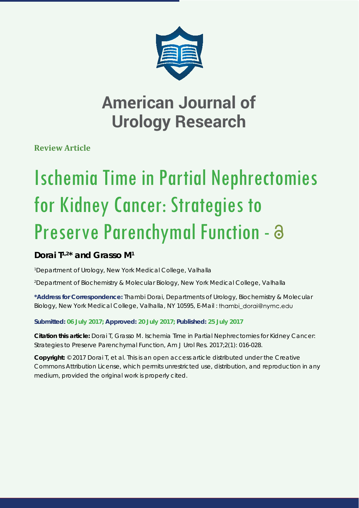

**Review Article**

# Ischemia Time in Partial Nephrectomies for Kidney Cancer: Strategies to Preserve Parenchymal Function - a

### **Dorai T1,2\* and Grasso M1**

*1 Department of Urology, New York Medical College, Valhalla*

*2 Department of Biochemistry & Molecular Biology, New York Medical College, Valhalla*

**\*Address for Correspondence:** Thambi Dorai, Departments of Urology, Biochemistry & Molecular Biology, New York Medical College, Valhalla, NY 10595, E-Mail : thambi\_dorai@nymc.edu

**Submitted: 06 July 2017; Approved: 20 July 2017; Published: 25 July 2017**

**Citation this article:** Dorai T, Grasso M. Ischemia Time in Partial Nephrectomies for Kidney Cancer: Strategies to Preserve Parenchymal Function, Am J Urol Res. 2017;2(1): 016-028.

**Copyright:** © 2017 Dorai T, et al. This is an open access article distributed under the Creative Commons Attribution License, which permits unrestricted use, distribution, and reproduction in any medium, provided the original work is properly cited.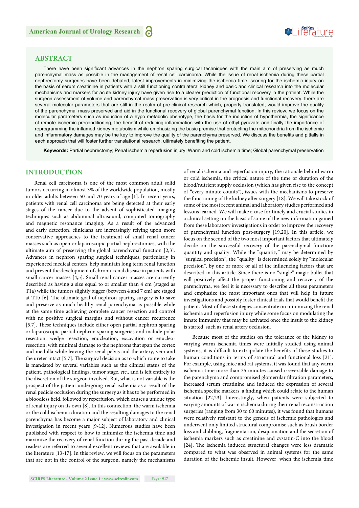## SeiRes ture

#### **ABSTRACT**

There have been significant advances in the nephron sparing surgical techniques with the main aim of preserving as much parenchymal mass as possible in the management of renal cell carcinoma. While the issue of renal ischemia during these partial nephrectomy surgeries have been debated, latest improvements in minimizing the ischemia time, scoring for the ischemic injury on the basis of serum creatinine in patients with a still functioning contralateral kidney and basic and clinical research into the molecular mechanisms and markers for acute kidney injury have given rise to a clearer prediction of functional recovery in the patient. While the surgeon assessment of volume and parenchymal mass preservation is very critical in the prognosis and functional recovery, there are several molecular parameters that are still in the realm of pre-clinical research which, properly translated, would improve the quality of the parenchymal mass preserved and aid in the functional recovery of global parenchymal function. In this review, we focus on the molecular parameters such as induction of a hypo metabolic phenotype, the basis for the induction of hypothermia, the significance of remote ischemic preconditioning, the benefit of reducing inflammation with the use of ethyl pyruvate and finally the importance of reprogramming the inflamed kidney metabolism while emphasizing the basic premise that protecting the mitochondria from the ischemic and inflammatory damages may be the key to improve the quality of the parenchyma preserved. We discuss the benefits and pitfalls in each approach that will foster further translational research, ultimately benefiting the patient.

**Keywords:** Partial nephrectomy; Penal ischemia reperfusion injury; Warm and cold ischemia time; Global parenchymal preservation

#### **INTRODUCTION**

Renal cell carcinoma is one of the most common adult solid tumors occurring in almost 3% of the worldwide population, mostly in older adults between 50 and 70 years of age [1]. In recent years, patients with renal cell carcinoma are being detected at their early stages of the cancer due to the advent of sophisticated imaging techniques such as abdominal ultrasound, computed tomography and magnetic resonance imaging. As a result of the advanced and early detection, clinicians are increasingly relying upon more conservative approaches to the treatment of small renal cancer masses such as open or laparoscopic partial nephrectomies, with the ultimate aim of preserving the global parenchymal function [2,3]. Advances in nephron sparing surgical techniques, particularly in experienced medical centers, help maintain long term renal function and prevent the development of chronic renal disease in patients with small cancer masses [4,5]. Small renal cancer masses are currently described as having a size equal to or smaller than 4 cm (staged as T1a) while the tumors slightly bigger (between 4 and 7 cm) are staged at T1b  $[6]$ . The ultimate goal of nephron sparing surgery is to save and preserve as much healthy renal parenchyma as possible while at the same time achieving complete cancer resection and control with no positive surgical margins and without cancer recurrence [5,7]. These techniques include either open partial nephron sparing or laparoscopic partial nephron sparing surgeries and include polar resection, wedge resection, enucleation, excavation or enucleoresection, with minimal damage to the nephrons that span the cortex and medulla while leaving the renal pelvis and the artery, vein and the ureter intact  $[5,7]$ . The surgical decision as to which route to take is mandated by several variables such as the clinical status of the patient, pathological findings, tumor stage, etc., and is left entirely to the discretion of the surgeon involved. But, what is not variable is the prospect of the patient undergoing renal ischemia as a result of the renal pedicle occlusion during the surgery as it has to be performed in a bloodless field, followed by reperfusion, which causes a unique type of renal injury on its own [8]. In this connection, the warm ischemia or the cold ischemia duration and the resulting damages to the renal parenchyma has become a major subject of laboratory and clinical investigation in recent years [9-12]. Numerous studies have been published with respect to how to minimize the ischemia time and maximize the recovery of renal function during the past decade and readers are referred to several excellent reviews that are available in the literature [13-17]. In this review, we will focus on the parameters that are not in the control of the surgeon, namely the mechanisms of renal ischemia and reperfusion injury, the rationale behind warm or cold ischemia, the critical nature of the time or duration of the blood/nutrient supply occlusion (which has given rise to the concept of "every minute counts"), issues with the mechanisms to preserve the functioning of the kidney after surgery [18]. We will take stock of some of the most recent animal and laboratory studies performed and lessons learned. We will make a case for timely and crucial studies in a clinical setting on the basis of some of the new information gained from these laboratory investigations in order to improve the recovery of parenchymal function post-surgery [19,20]. In this article, we focus on the second of the two most important factors that ultimately decide on the successful recovery of the parenchymal function: quantity and quality. While the "quantity" may be determined by "surgical precision", the "quality" is determined solely by "molecular precision", by one or more or all of the influencing factors that are described in this article. Since there is no "single" magic bullet that will positively affect the proper functioning and recovery of the parenchyma, we feel it is necessary to describe all these parameters and emphasize the most important ones that will help in future investigations and possibly foster clinical trials that would benefit the patient. Most of these strategies concentrate on minimizing the renal ischemia and reperfusion injury while some focus on modulating the innate immunity that may be activated once the insult to the kidney is started, such as renal artery occlusion.

Because most of the studies on the tolerance of the kidney to varying warm ischemia times were initially studied using animal systems, it is difficult to extrapolate the benefits of these studies to human conditions in terms of structural and functional loss [21]. For example, using mice and rat systems, it was found that any warm ischemia time more than 35 minutes caused irreversible damage to the parenchyma and compromised glomerular filtration parameters, increased serum creatinine and induced the expression of several ischemia specific markers, a finding which could relate to the human situation [22,23]. Interestingly, when patients were subjected to varying amounts of warm ischemia during their renal reconstruction surgeries (ranging from 30 to 60 minutes), it was found that humans were relatively resistant to the genesis of ischemic pathologies and underwent only limited structural compromise such as brush border loss and clubbing, fragmentation, desquamation and the secretion of ischemia markers such as creatinine and cystatin-C into the blood [24]. The ischemia induced structural changes were less dramatic compared to what was observed in animal systems for the same duration of the ischemic insult. However, when the ischemia time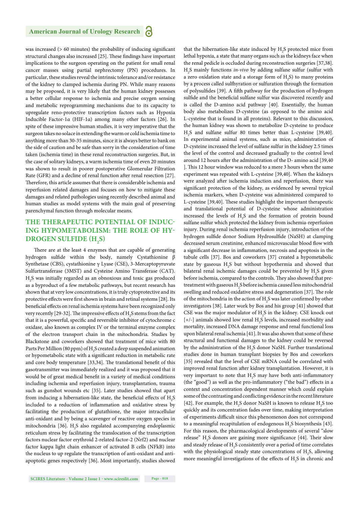was increased  $(> 60$  minutes) the probability of inducing significant structural changes also increased [25]. These findings have important implications to the surgeon operating on the patient for small renal cancer masses using partial nephrectomy (PN) procedures. In particular, these studies reveal the intrinsic tolerance and/or resistance of the kidney to clamped ischemia during PN. While many reasons may be proposed, it is very likely that the human kidney possesses a better cellular response to ischemia and precise oxygen sensing and metabolic reprogramming mechanisms due to its capacity to upregulate reno-protective transcription factors such as Hypoxia Inducible Factor-1α (HIF-1α) among many other factors [26]. In spite of these impressive human studies, it is very imperative that the surgeon takes no solace in extending the warm or cold ischemia time to anything more than 30-35 minutes, since it is always better to bank on the side of caution and be safe than sorry in the consideration of time taken (ischemia time) in these renal reconstruction surgeries. But, in the case of solitary kidneys, a warm ischemia time of even 20 minutes was shown to result in poorer postoperative Glomerular Filtration Rate (GFR) and a decline of renal function after renal resection [27]. Therefore, this article assumes that there is considerable ischemia and reperfusion related damages and focuses on how to mitigate these damages and related pathologies using recently described animal and human studies as model systems with the main goal of preserving parenchymal function through molecular means.

#### **THE THERAPEUTIC POTENTIAL OF INDUC-ING HYPOMETABOLISM: THE ROLE OF HY-DROGEN SULFIDE (H2 S)**

There are at the least 4 enzymes that are capable of generating hydrogen sulfide within the body, namely Cystathionine β Synthetase (CBS), cystathionine γ Lyase (CSE), 3-Mercaptopyruvate Sulfurtransferase (3MST) and Cysteine Amino Transferase (CAT). H2 S was initially regarded as an obnoxious and toxic gas produced as a byproduct of a few metabolic pathways, but recent research has shown that at very low concentrations, it is truly cytoprotective and its protective effects were first shown in brain and retinal systems [28]. Its beneficial effects on renal ischemia systems have been recognized only very recently [29-32]. The impressive effects of  $\rm H_2S$  stems from the fact that it is a powerful, specific and reversible inhibitor of cytochrome c oxidase, also known as complex IV or the terminal enzyme complex of the electron transport chain in the mitochondria. Studies by Blackstone and coworkers showed that treatment of mice with 80 Parts Per Million (80 ppm) of  $\rm H_2$ S created a deep suspended animation or hypometabolic state with a significant reduction in metabolic rate and core body temperature [33,34]. The translational benefit of this gasotransmitter was immediately realized and it was proposed that it would be of great medical benefit in a variety of medical conditions including ischemia and reperfusion injury, transplantation, trauma such as gunshot wounds etc [35]. Later studies showed that apart from inducing a hibernation-like state, the beneficial effects of  $\rm H_2S$ included to a reduction of inflammation and oxidative stress by facilitating the production of glutathione, the major intracellular anti-oxidant and by being a scavenger of reactive oxygen species in mitochondria [36].  $\rm{H_2S}$  also regulated accompanying endoplasmic reticulum stress by facilitating the translocation of the transcription factors nuclear factor erythroid 2-related factor-2 (Nrf2) and nuclear factor kappa light chain enhancer of activated B cells (NFkB) into the nucleus to up regulate the transcription of anti-oxidant and antiapoptotic genes respectively [36]. Most importantly, studies showed

that the hibernation-like state induced by  $H_2S$  protected mice from lethal hypoxia, a state that many organs such as the kidneys face when the renal pedicle is occluded during reconstruction surgeries [37,38]. H2 S mainly functions *in-vivo* by adding sulfane sulfur (sulfur with a zero oxidation state and a storage form of  $H_2S$ ) to many proteins by a process called sulfhyration or sulfuration through the formation of polysulfides [39]. A fifth pathway for the production of hydrogen sulfide and the beneficial sulfane sulfur was discovered recently and is called the D-amino acid pathway [40]. Essentially, the human body also metabolizes D-cysteine (as opposed to the amino acid L-cysteine that is found in all proteins). Relevant to this discussion, the human kidney was shown to metabolize D-cysteine to produce H2 S and sulfane sulfur 80 times better than L-cysteine [39,40]. In experimental animal systems, such as mice, administration of D-cysteine increased the level of sulfane sulfur in the kidney 2.5 times the level of the control and decreased gradually to the control level around 12 hours after the administration of the D- amino acid [39,40 ]. This 12 hour window was reduced to a mere 3 hours when the same experiment was repeated with L-cysteine [39,40]. When the kidneys were analyzed after ischemia induction and reperfusion, there was significant protection of the kidney, as evidenced by several typical ischemia markers, when D-cysteine was administered compared to L-cysteine [39,40]. These studies highlight the important therapeutic and translational potential of D-cysteine whose administration increased the levels of  $H_2S$  and the formation of protein bound sulfane sulfur which protected the kidney from ischemia-reperfusion injury. During renal ischemia reperfusion injury, introduction of the hydrogen sulfide donor Sodium Hydrosulfide (NaSH) at clamping decreased serum creatinine, enhanced microvascular blood flow with a significant decrease in inflammation, necrosis and apoptosis in the tubule cells [37]. Bos and coworkers [37] created a hypometabolic state by gaseous  $H_2S$  but without hypothermia and showed that bilateral renal ischemic damages could be prevented by  $H_2S$  given before ischemia, compared to the controls. They also showed that pretreatment with gaseous  $\mathrm{H}_2\mathrm{S}$  before ischemia caused less mitochondrial swelling and reduced oxidative stress and degeneration [37]. The role of the mitochondria in the action of  $H_2S$  was later confirmed by other investigators [38]. Later work by Bos and his group [41] showed that CSE was the major modulator of  $H_2S$  in the kidney. CSE knock out  $[+/$ -] animals showed low renal  $H_2S$  levels, increased morbidity and mortality, increased DNA damage response and renal functional loss upon bilateral renal ischemia [41]. It was also shown that some of these structural and functional damages to the kidney could be reversed by the administration of the  $\rm H_2S$  donor NaSH. Further translational studies done in human transplant biopsies by Bos and coworkers [35] revealed that the level of CSE mRNA could be correlated with improved renal function after kidney transplantation. However, it is very important to note that  $H_2S$  may have both anti-inflammatory (the "good") as well as the pro-inflammatory ("the bad") effects in a context and concentration dependent manner which could explain some of the contrasting and conflicting evidence in the recent literature [42]. For example, the H<sub>2</sub>S donor NaSH is known to release H<sub>2</sub>S too quickly and its concentration fades over time, making interpretation of experiments difficult since this phenomenon does not correspond to a meaningful recapitulation of endogenous  $H_2S$  biosynthesis [43]. For this reason, the pharmacological developments of several "slow release" H<sub>2</sub>S donors are gaining more significance [44]. Their slow and steady release of  $\rm H_2S$  consistently over a period of time correlates with the physiological steady state concentrations of  $H_2S$ , allowing more meaningful investigations of the effects of  $H_2S$  in chronic and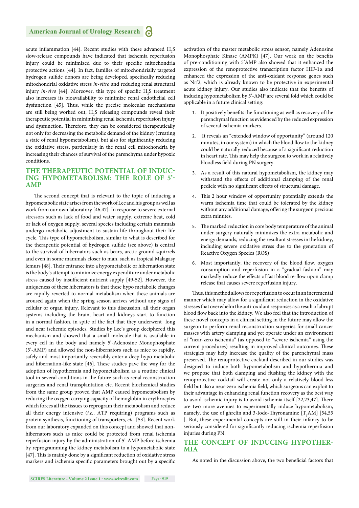acute inflammation [44]. Recent studies with these advanced  $H_2S$ slow-release compounds have indicated that ischemia reperfusion injury could be minimized due to their specific mitochondria protective actions [44]. In fact, families of mitochondrially targeted hydrogen sulfide donors are being developed, specifically reducing mitochondrial oxidative stress *in-vitro* and reducing renal structural injury *in-vivo* [44]. Moreover, this type of specific H<sub>2</sub>S treatment also increases its bioavailability to minimize renal endothelial cell dysfunction [45]. Thus, while the precise molecular mechanisms are still being worked out,  $H_2S$  releasing compounds reveal their therapeutic potential in minimizing renal ischemia reperfusion injury and dysfunction. Therefore, they can be considered therapeutically not only for decreasing the metabolic demand of the kidney (creating a state of renal hypometabolism), but also for significantly reducing the oxidative stress, particularly in the renal cell mitochondria by increasing their chances of survival of the parenchyma under hypoxic conditions.

#### **THE THERAPEUTIC POTENTIAL OF INDUC-ING HYPOMETABOLISM: THE ROLE OF 5'- AMP**

The second concept that is relevant to the topic of inducing a hypometabolic state arises from the work of Lee and his group as well as work from our own laboratory [46,47]. In response to severe external stressors such as lack of food and water supply, extreme heat, cold or lack of oxygen supply, several species including certain mammals undergo metabolic adjustment to sustain life throughout their life cycle. This type of hypometabolism, similar to what is described for the therapeutic potential of hydrogen sulfide (see above) is central to the survival of hibernators such as bears, arctic ground squirrels and even in some mammals closer to man, such as tropical Malagasy lemurs [48]. Their entrance into a hypometabolic or hibernation state is the body's attempt to minimize energy expenditure under metabolic stress caused by insufficient nutrient supply [49-52]. However, the uniqueness of these hibernators is that these hypo metabolic changes are rapidly reverted to normal metabolism when these animals are aroused again when the spring season arrives without any signs of cellular or organ injury. Relevant to this discussion, all their organ systems including the brain, heart and kidneys start to function in a normal fashion, in spite of the fact that they underwent long and near ischemic episodes. Studies by Lee's group deciphered this mechanism and showed that a small molecule that is available in every cell in the body and namely 5'-Adenosine Monophosphate (5'-AMP) and allowed the non-hibernators such as mice to rapidly, safely and most importantly reversibly enter a deep hypo metabolic and hibernation-like state  $[46]$ . These studies pave the way for the adoption of hypothermia and hypometabolism as a routine clinical tool in several conditions in the future such as renal reconstruction surgeries and renal transplantation etc. Recent biochemical studies from the same group proved that AMP caused hypometabolism by reducing the oxygen carrying capacity of hemoglobin in erythrocytes which forces all the tissues to reprogram their metabolism and reduce all their energy intensive (*i.e.*, ATP requiring) programs such as protein synthesis, functioning of transporters, *etc*. [53]. Recent work from our laboratory expanded on this concept and showed that nonhibernators such as mice could be protected from renal ischemia reperfusion injury by the administration of 5'-AMP before ischemia by reprogramming the kidney metabolism to a hypometabolic state [47]. This is mainly done by a significant reduction of oxidative stress markers and ischemia specific parameters brought out by a specific activation of the master metabolic stress sensor, namely Adenosine Monophosphate Kinase (AMPK) [47]. Our work on the benefits of pre-conditioning with 5'AMP also showed that it enhanced the expression of the renoprotective transcription factor HIF-1α and enhanced the expression of the anti-oxidant response genes such as Nrf2, which is already known to be protective in experimental acute kidney injury. Our studies also indicate that the benefits of inducing hypometabolism by 5'-AMP are several fold which could be applicable in a future clinical setting:

- 1. It positively benefits the functioning as well as recovery of the parenchymal function as evidenced by the reduced expression of several ischemia markers.
- 2. It reveals an "extended window of opportunity" (around 120 minutes, in our system) in which the blood flow to the kidney could be naturally reduced because of a significant reduction in heart rate. This may help the surgeon to work in a relatively bloodless field during PN surgery.
- 3. As a result of this natural hypometabolism, the kidney may withstand the effects of additional clamping of the renal pedicle with no significant effects of structural damage.
- 4. This 2 hour window of opportunity potentially extends the warm ischemia time that could be tolerated by the kidney without any additional damage, offering the surgeon precious extra minutes.
- 5. The marked reduction in core body temperature of the animal under surgery naturally minimizes the extra metabolic and energy demands, reducing the resultant stresses in the kidney, including severe oxidative stress due to the generation of Reactive Oxygen Species (ROS)
- 6. Most importantly, the recovery of the blood flow, oxygen consumption and reperfusion in a "gradual fashion" may markedly reduce the effects of fast blood re-flow upon clamp release that causes severe reperfusion injury.

Thus, this method allows for reperfusion to occur in an incremental manner which may allow for a significant reduction in the oxidative stresses that overwhelm the anti-oxidant responses as a result of abrupt blood flow back into the kidney. We also feel that the introduction of these novel concepts in a clinical setting in the future may allow the surgeon to perform renal reconstruction surgeries for small cancer masses with artery clamping and yet operate under an environment of "near-zero ischemia" (as opposed to "severe ischemia" using the current procedures) resulting in improved clinical outcomes. These strategies may help increase the quality of the parenchymal mass preserved. The renoprotective cocktail described in our studies was designed to induce both hypometabolism and hypothermia and we propose that both clamping and flushing the kidney with the renoprotective cocktail will create not only a relatively blood-less field but also a near-zero ischemia field, which surgeons can exploit to their advantage in enhancing renal function recovery as the best way to avoid ischemic injury is to avoid ischemia itself [22,23,47]. There are two more avenues to experimentally induce hypometabolism, namely, the use of ghrelin and 3-Iodo-Thyronamine  $[T_1AM]$  [54,55 ]. But, these experimental concepts are still in their infancy to be seriously considered for significantly reducing ischemia reperfusion injuries during PN.

#### **THE CONCEPT OF INDUCING HYPOTHER-MIA**

As noted in the discussion above, the two beneficial factors that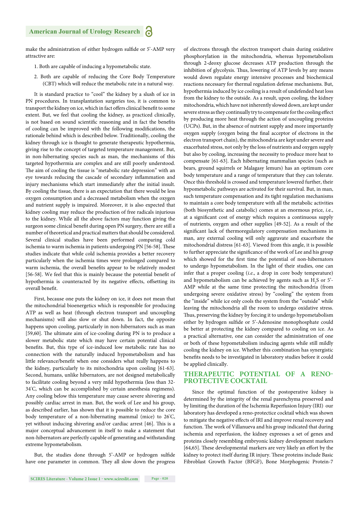make the administration of either hydrogen sulfide or 5'-AMP very attractive are:

- 1. Both are capable of inducing a hypometabolic state.
- 2. Both are capable of reducing the Core Body Temperature (CBT) which will reduce the metabolic rate in a natural way.

It is standard practice to "cool" the kidney by a slush of ice in PN procedures. In transplantation surgeries too, it is common to transport the kidney on ice, which in fact offers clinical benefit to some extent. But, we feel that cooling the kidney, as practiced clinically, is not based on sound scientific reasoning and in fact the benefits of cooling can be improved with the following modifications, the rationale behind which is described below. Traditionally, cooling the kidney through ice is thought to generate therapeutic hypothermia, giving rise to the concept of targeted temperature management. But, in non-hibernating species such as man, the mechanisms of this targeted hypothermia are complex and are still poorly understood. The aim of cooling the tissue is "metabolic rate depression" with an eye towards reducing the cascade of secondary inflammation and injury mechanisms which start immediately after the initial insult. By cooling the tissue, there is an expectation that there would be less oxygen consumption and a decreased metabolism when the oxygen and nutrient supply is impaired. Moreover, it is also expected that kidney cooling may reduce the production of free radicals injurious to the kidney. While all the above factors may function giving the surgeon some clinical benefit during open PN surgery, there are still a number of theoretical and practical matters that should be considered. Several clinical studies have been performed comparing cold ischemia to warm ischemia in patients undergoing PN [56-58]. These studies indicate that while cold ischemia provides a better recovery particularly when the ischemia times were prolonged compared to warm ischemia, the overall benefits appear to be relatively modest [56-58]. We feel that this is mainly because the potential benefit of hypothermia is counteracted by its negative effects, offsetting its overall benefit.

First, because one puts the kidney on ice, it does not mean that the mitochondrial bioenergetics which is responsible for producing ATP as well as heat (through electron transport and uncoupling mechanisms) will also slow or shut down. In fact, the opposite happens upon cooling, particularly in non-hibernators such as man [59,60]. The ultimate aim of ice-cooling during PN is to produce a slower metabolic state which may have certain potential clinical benefits. But, this type of ice-induced low metabolic rate has no connection with the naturally induced hypometabolism and has little relevance/benefit when one considers what really happens to the kidney, particularly to its mitochondria upon cooling [61-63]. Second, humans, unlike hibernators, are not designed metabolically to facilitate cooling beyond a very mild hypothermia (less than 32- 34° C, which can be accomplished by certain anesthesia regimens). Any cooling below this temperature may cause severe shivering and possibly cardiac arrest in man. But, the work of Lee and his group, as described earlier, has shown that it is possible to reduce the core body temperature of a non-hibernating mammal (mice) to 26° C, yet without inducing shivering and/or cardiac arrest [46]. This is a major conceptual advancement in itself to make a statement that non-hibernators are perfectly capable of generating and withstanding extreme hypometabolism.

But, the studies done through 5'-AMP or hydrogen sulfide have one parameter in common. They all slow down the progress

would down regulate energy intensive processes and biochemical reactions necessary for thermal regulation defense mechanisms. But, hypothermia induced by ice cooling is a result of undefended heat loss from the kidney to the outside. As a result, upon cooling, the kidney mitochondria, which have not inherently slowed down, are kept under severe stress as they continually try to compensate for the cooling effect by producing more heat through the action of uncoupling proteins (UCPs). But, in the absence of nutrient supply and more importantly oxygen supply (oxygen being the final acceptor of electrons in the electron transport chain), the mitochondria are kept under severe and exacerbated stress, not only by the loss of nutrients and oxygen supply but also by cooling, increasing the necessity to produce more heat to compensate [61-63]. Each hibernating mammalian species (such as bears, ground squirrels or Malagasy lemurs) has an optimum core body temperature and a range of temperature that they can tolerate. Once this threshold is crossed and temperature lowered further, their hypometabolic pathways are activated for their survival. But, in man, such temperature compensation and its tight regulation mechanisms to maintain a core body temperature with all the metabolic activities (both biosynthetic and catabolic) comes at an enormous price, *i.*e., at a significant cost of energy which requires a continuous supply of nutrients, oxygen and other supplies [49-52]. As a result of the significant lack of thermoregulatory compensation mechanisms in man, any external cooling will only aggravate and exacerbate the mitochondrial distress [61-63]. Viewed from this angle, it is possible to further appreciate the significance of the work of Lee and his group which showed for the first time the potential of non-hibernators to undergo hypometabolism. In the light of their studies, one can infer that a proper cooling (*i.e*., a drop in core body temperature) and hypometabolism can be achieved by agents such as  $H_2S$  or  $5^2$ -AMP while at the same time protecting the mitochondria (from undergoing severe oxidative stress) by "cooling" the system from the "inside" while ice only cools the system from the "outside" while leaving the mitochondria all the room to undergo oxidative stress. Thus, preserving the kidney by forcing it to undergo hypometabolism either by hydrogen sulfide or 5'-Adenosine monophosphate could be better at protecting the kidney compared to cooling on ice. As a practical alternative, one can consider the administration of one or both of these hypometabolism inducing agents while still mildly cooling the kidney on ice. Whether this combination has synergistic

of electrons through the electron transport chain during oxidative phosphorylation in the mitochondria, whereas hypometabolism through 2-deoxy glucose decreases ATP production through the inhibition of glycolysis. Thus, lowering of ATP levels by any means

#### **THERAPEUTIC POTENTIAL OF A RENO-PROTECTIVE COCKTAIL**

benefits needs to be investigated in laboratory studies before it could

be applied clinically.

Since the optimal function of the postoperative kidney is determined by the integrity of the renal parenchyma preserved and by limiting the duration of the Ischemia Reperfusion Injury (IRI) our laboratory has developed a reno-protectice cocktail which was shown to mitigate the negative effects of IRI and improve renal recovery and function. The work of Villanueva and his group indicated that during ischemia and reperfusion, the kidney expresses a set of genes and proteins closely resembling embryonic kidney development markers [64,65]. These developmental markers are very likely an effort by the kidney to protect itself during IR injury. These proteins include Basic Fibroblast Growth Factor (BFGF), Bone Morphogenic Protein-7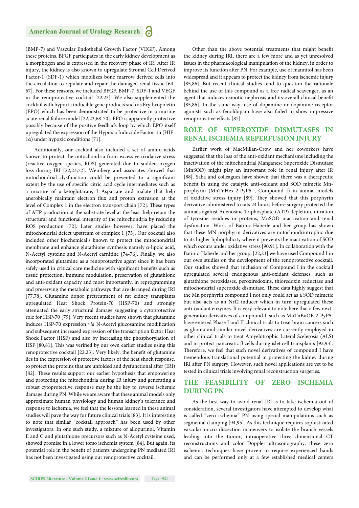(BMP-7) and Vascular Endothelial Growth Factor (VEGF). Among these proteins, BFGF participates in the early kidney development as a morphogen and is expressed in the recovery phase of IR. After IR injury, the kidney is also known to upregulate Stromal Cell Derived Factor-1 (SDF-1) which mobilizes bone marrow derived cells into the circulation to repulate and repair the damaged renal tissue [64- 67]. For these reasons, we included BFGF, BMP-7, SDF-1 and VEGF in the renoprotective cocktail [22,23]. We also supplemented the cocktail with hypoxia inducible gene products such as Erythropoietin (EPO) which has been demonstrated to be protective in a murine acute renal failure model [22,23,68-70]. EPO is apparently protective possibly because of the positive feedback loop by which EPO itself upregulated the expression of the Hypoxia Inducible Factor-1α (HIF-1α) under hypoxic conditions [71].

Additionally, our cocktail also included a set of amino acids known to protect the mitochondria from excessive oxidative stress (reactive oxygen species, ROS) generated due to sudden oxygen loss during IRI [22,23,72]. Weinberg and associates showed that mitochondrial dysfunction could be prevented to a significant extent by the use of specific citric acid cycle intermediates such as a mixture of α-ketoglutarate, L-Aspartate and malate that help anerobically maintain electron flux and proton extrusion at the level of Complex 1 in the electron transport chain [72]. These types of ATP production at the substrate level at the least help retain the structural and functional integrity of the mitochondria by reducing ROS production [72]. Later studies however, have placed the mitochondrial defect upstream of complex 1 [73]. Our cocktail also included other biochemical's known to protect the mitochondrial membrane and enhance glutathione synthesis namely α-lipoic acid, N-Acetyl cysteine and N-Acetyl carnitine [74-76]. Finally, we also incorporated glutamine as a renoprotective agent since it has been safely used in critical care medicine with significant benefits such as tissue protection, immune modulation, preservation of glutathione and anti-oxidant capacity and most importantly, in reprogramming and preserving the metabolic pathways that are deranged during IRI [77,78]. Glutamine donor pretreatment of rat kidney transplants upregulated Heat Shock Protein-70 (HSP-70) and strongly attenuated the early structural damage suggesting a cytoprotective role for HSP-70 [79]. Very recent studies have shown that glutamine induces HSP-70 expression *via* N-Acetyl glucosamine modification and subsequent increased expression of the transcription factor Heat Shock Factor (HSF) and also by increasing the phosphorylation of HSF [80,81]. This was verified by our own earlier studies using this renoprotective cocktail [22,23]. Very likely, the benefit of glutamine lies in the expression of protective factors of the heat shock response, to protect the proteins that are unfolded and dysfunctional after (IRI) [82]. These results support our earlier hypothesis that empowering and protecting the mitochondria during IR injury and generating a robust cytoprotective response may be the key to reverse ischemic damage during PN. While we are aware that these animal models only approximate human physiology and human kidney's tolerance and response to ischemia, we feel that the lessons learned in these animal studies will pave the way for future clinical trials [83]. It is interesting to note that similar "cocktail approach" has been used by other investigators. In one such study, a mixture of allopurinol, Vitamin E and C and glutathione precursors such as N-Acetyl cysteine used, showed promise in a lower torso ischemia system [84]. But again, its potential role in the benefit of patients undergoing PN mediated IRI has not been investigated using our renoprotective cocktail.

Other than the above potential treatments that might benefit the kidney during IRI, there are a few more and as yet unresolved issues in the pharmacological manipulation of the kidney, in order to improve its function after PN. For example, use of mannitol has been widespread and it appears to protect the kidney from ischemic injury [85,86]. But recent clinical studies tend to question the rationale behind the use of this compound as a free radical scavenger, as an agent that induces osmotic nephrosis and its overall clinical benefit [85,86]. In the same way, use of dopamine or dopamine receptor agonists such as fenoldopam have also failed to show impressive renoprotective effects [87].

#### **ROLE OF SUPEROXIDE DISMUTASES IN RENAL ISCHEMIA REPERFUSION INJURY**

Earlier work of MacMillan-Crow and her coworkers have suggested that the loss of the anti-oxidant mechanisms including the inactivation of the mitochondrial Manganese Superoxide Dismutase (MnSOD) might play an important role in renal injury after IR [88]. Saba and colleagues have shown that there was a therapeutic benefit in using the catalytic anti-oxidant and SOD mimetic Mnporphyrin (MnTnHex-2-PyP5+, Compound I) in animal models of oxidative stress injury [89]. They showed that this porphyrin derivative administered to rats 24 hours before surgery protected the animals against Adenosine Triphosphate (ATP) depletion, nitration of tyrosine residues in proteins, MnSOD inactivation and renal dysfunction. Work of Batinic-Haberle and her group has shown that these MN porphyrin derivatives are mitochondriotrophic due to its higher liphophilicity where it prevents the inactivation of SOD which occurs under oxidative stress [90,91]. In collaboration with the Batinic-Haberle and her group, [22,23] we have used Compound I in our own studies on the development of the renoprotective cocktail. Our studies showed that inclusion of Compound I in the cocktail upregulated several endogenous anti-oxidant defenses, such as glutathione peroxidases, peroxiredoxins, thioredoxin reductase and mitochondrial superoxide dismutase. These data highly suggest that the Mn porphyrin compound I not only could act as a SOD mimetic but also acts as an Nrf2 inducer which in turn upregulated these anti-oxidant enzymes. It is very relevant to note here that a few nextgeneration derivatives of compound I, such as MnTnBuOE-2-PyP5+ have entered Phase I and II clinical trials to treat brain cancers such as glioma and similar novel derivatives are currently employed in other clinical trials to treat Amyelotrophic Lateral Scelerosis (ALS) and in protect pancreatic β cells during islet cell transplants [92,93]. Therefore, we feel that such novel derivatives of compound I have tremendous translational potential in protecting the kidney during IRI after PN surgery. However, such novel applications are yet to be tested in clinical trials involving renal reconstruction surgeries.

#### **THE FEASIBILITY OF ZERO ISCHEMIA DURING PN**

As the best way to avoid renal IRI is to take ischemia out of consideration, several investigators have attempted to develop what is called "zero ischemia" PN using special manipulations such as segmental clamping [94,95]. As this technique requires sophisticated vascular micro dissection maneuvers to isolate the branch vessels leading into the tumor, intraoperative three dimensional CT reconstructions and color Doppler ultrasonography, these zero ischemia techniques have proven to require experienced hands and can be performed only at a few established medical centers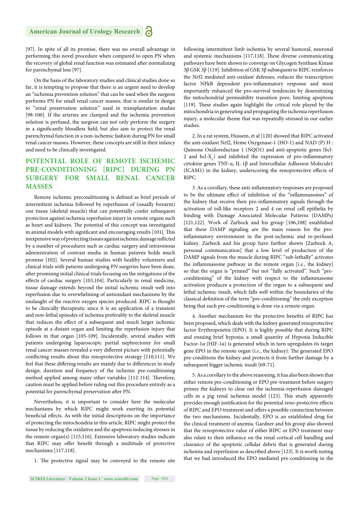[97]. In spite of all its promise, there was no overall advantage in performing this novel procedure when compared to open PN when the recovery of global renal function was estimated after normalizing for parenchymal loss [97].

On the basis of the laboratory studies and clinical studies done so far, it is tempting to propose that there is an urgent need to develop an "ischemia prevention solution" that can be used when the surgeon performs PN for small renal cancer masses, that is similar in design to "renal preservation solution" used in transplantation studies [98-100]. If the arteries are clamped and the ischemia prevention solution is perfused, the surgeon can not only perform the surgery in a significantly bloodless field, but also aim to protect the renal parenchymal function in a non-ischemic fashion during PN for small renal cancer masses. However, these concepts are still in their infancy and need to be clinically investigated.

#### **POTENTIAL ROLE OF REMOTE ISCHEMIC PRE-CONDITIONING [RIPC] DURING PN SURGERY FOR SMALL RENAL CANCER MASSES**

Remote ischemic preconditioning is defined as brief periods of intermittent ischemia followed by reperfusion of (usually forearm) one tissue (skeletal muscle) that can potentially confer subsequent protection against ischemia reperfusion injury in remote organs such as heart and kidneys. The potential of this concept was investigated in animal models with significant and encouraging results [101]. This inexpensive way of protecting tissues against ischemic damage inflicted by a number of procedures such as cardiac surgery and intravenous administration of contrast media in human patients holds much promise [102]. Several human studies with healthy volunteers and clinical trials with patients undergoing PN surgeries have been done, after promising initial clinical trials focusing on the mitigations of the effects of cardiac surgery [103,104]. Particularly in renal medicine, tissue damage extends beyond the initial ischemic insult well into reperfusion due to overwhelming of antioxidant mechanisms by the onslaught of the reactive oxygen species produced. RIPC is thought to be clinically therapeutic since it is an application of a transient and non-lethal episodes of ischemia preferably to the skeletal muscle that reduces the effect of a subsequent and much larger ischemic episode at a distant organ and limiting the reperfusion injury that follows in that organ [105-109]. Incidentally, several studies with patients undergoing laparoscopic partial nephrectomy for small renal cancer masses revealed a very different picture with potentially conflicting results about this renoprotective strategy [110,111]. We feel that these differing results are mainly due to differences in study design, duration and frequency of the ischemic pre-conditioning method applied among many other variables [112-114]. Therefore, caution must be applied before ruling out this procedure entirely as a potential for parenchymal preservation after PN.

Nevertheless, it is important to consider here the molecular mechanisms by which RIPC might work exerting its potential beneficial effects. As with the initial descriptions on the importance of protecting the mitochondria in this article, RIPC might protect the tissue by reducing the oxidative and the apoptosis inducing stresses in the remote organ(s) [115,116]. Extensive laboratory studies indicate that RIPC may offer benefit through a multitude of protective mechanisms [117,118].

1. The protective signal may be conveyed to the remote site

following intermittent limb ischemia by several humoral, neuronal and systemic mechanisms [117,118]. These diverse communicating pathways have been shown to converge on Glycogen Synthase Kinase 3β GSK 3β [119]. Inhibition of GSK 3β subsequent to RIPC reinforces the Nrf2 mediated anti-oxidant defenses, reduces the transcription factor NFkB dependent pro-inflammatory response and most importantly enhanced the pro-survival tendencies by desensitizing the mitochondrial permeability transition pore, limiting apoptosis [119]. These studies again highlight the critical role played by the mitochondria in generating and propagating the ischemia reperfusion injury, a molecular theme that was repeatedly stressed in our earlier studies.

2. In a rat system, Hussein, et al [120] showed that RIPC activated the anti-oxidant Nrf2, Heme Oxygenase-1 (HO-1) and NAD (P) H : Quinone Oxidoreductase 1 (NQO1) and anti-apoptotic genes (bcl-2 and  $\text{bcl-}X_L$ ) and inhibited the expression of pro-inflammatory cytokine genes TNF-α, IL-1β and Intercellular Adhesion Molecule1 (ICAM1) in the kidney, underscoring the renoprotective effects of RIPC.

3. As a corollary, these anti-inflammatory responses are proposed to be the ultimate effect of inhibition of the "inflammasomes" of the kidney that receive their pro-inflammatory signals through the activation of toll-like receptors 2 and 4 on renal cell epithelia by binding with Damage Associated Molecular Patterns (DAMPs) [121,122]. Work of Zarbock and his group [106,108] established that these DAMP signaling are the main reason for the proinflammatory environment in the post-ischemic and re-perfused kidney. Zarbock and his group have further shown [Zarbock A, personal communication] that a low level of production of the DAMP signals from the muscle during RIPC "sub-lethally" activates the inflammasome pathway in the remote organ [*i.e.*, the kidney] so that the organ is "primed" but not "fully activated". Such "preconditioning" of the kidney with respect to the inflammasome activation produces a protection of the organ to a subsequent and lethal ischemic insult, which falls well within the boundaries of the classical definition of the term "pre-conditioning" the only exception being that such pre-conditioning is done *via* a remote organ.

4. Another mechanism for the protective benefits of RIPC has been proposed, which deals with the kidney generated renoprotective factor Erythropoietin (EPO). It is highly possible that during RIPC and ensuing brief hypoxia, a small quantity of Hypoxia Inducible Factor-1α (HIF-1α) is generated which in turn upregulates its target gene EPO in the remote organ (*i.e.*, the kidney). The generated EPO pre-conditions the kidney and protects it from further damage by a subsequent bigger ischemic insult [69-71].

5. As a corollary to the above reasoning, it has also been shown that either remote pre-conditioning or EPO pre-treatment before surgery primes the kidneys to clear out the ischemia-reperfusion damaged cells in a pig renal ischemia model [123]. This study apparently provides enough justification for the potential reno-protective effects of RIPC and EPO treatment and offers a possible connection between the two mechanisms. Incidentally, EPO is an established drug for the clinical treatment of anemia. Gardner and his group also showed that the renoprotective value of either RIPC or EPO treatment may also relate to their influence on the renal cortical cell handling and clearance of the apoptotic cellular debris that is generated during ischemia and reperfusion as described above [123]. It is worth noting that we had introduced the EPO mediated pre-conditioning in the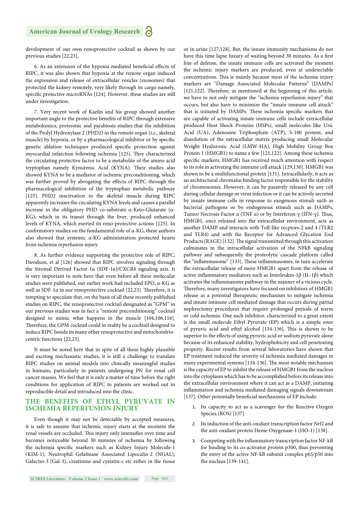development of our own renoprotective cocktail as shown by our previous studies [22,23].

6. As an extension of the hypoxia mediated beneficial effects of RIPC, it was also shown that hypoxia at the remote organ induced the expression and release of extracellular vesicles (exosomes) that protected the kidney remotely, very likely through its cargo namely, specific protective microRNAs [124]. However, these studies are still under investigation.

7. Very recent work of Kaelin and his group showed another important angle to the protective benefits of RIPC through extensive metabolomics, proteomic and parabiosis studies that the inhibition of the Prolyl Hydroxylase 2 (PHD2) in the remote organ (*i.e*., skeletal muscle) by hypoxia, or by a pharmacological inhibitor or by specific genetic ablation techniques produced specific protection against myocardial infarction following ischemia [125]. They characterized the circulating protective factor to be a metabolite of the amino acid tryptophan namely Kynurenic Acid (KYNA). Their studies also showed KYNA to be a mediator of ischemic preconditioning, which was further proved by abrogating the effects of RIPC through the pharmacological inhibition of the tryptophan metabolic pathway [125]. PHD2 inactivation in the skeletal muscle during RIPC apparently increases the circulating KYNA levels and causes a parallel increase in the obligatory PHD co-substrate α-Keto-Glutarate (α-KG), which in its transit through the liver, produced enhanced levels of KYNA, which exerted its reno-protective actions [125]. In confirmatory studies on the fundamental role of  $\alpha$ -KG, these authors also showed that systemic α-KG administration protected hearts from ischemia reperfusion injury.

8. As further evidence supporting the protective role of RIPC, Davidson, et al [126] showed that RIPC involves signaling through the Stromal Derived Factor-1α (SDF-1α)/CXCR4 signaling axis. It is very important to note here that even before all these molecular studies were published, our earlier work had included EPO, α-KG as well as SDF-1α in our renoprotective cocktail [22,23]. Therefore, it is tempting to speculate that, on the basis of all these recently published studies on RIPC, the renoprotective cocktail designated as "GPM" in our previous studies was in fact a "remote preconditioning" cocktail designed to mimic what happens in the muscle [104,106,116]. Therefore, the GPM cocktail could in reality be a cocktail designed to induce RIPC beside its many other renoprotective and mitochondriocentric functions [22,23].

It must be noted here that in spite of all these highly plausible and exciting mechanistic studies, it is still a challenge to translate RIPC studies on animal models into clinically meaningful studies in humans, particularly in patients undergoing PN for renal cell cancer masses. We feel that it is only a matter of time before the right conditions for application of RIPC to patients are worked out in reproducible detail and introduced into the clinic.

#### **THE BENEFITS OF ETHYL PYRUVATE IN ISCHEMIA REPERFUSION INJURY**

Even though it may not be detectable by accepted measures, it is safe to assume that ischemic injury starts at the moment the renal vessels are occluded. This injury only intensifies over time and becomes noticeable beyond 30 minutes of ischemia by following the ischemia specific markers such as Kidney Injury Molecule-1 (KIM-1), Neutrophil Gelatinase Associated Lipocalin-2 (NGAL), Galectin-3 (Gal-3), creatinine and cystatin-c etc either in the tissue or in urine [127,128]. But, the innate immunity mechanisms do not have this time lapse luxury of waiting beyond 30 minutes. As a first line of defense, the innate immune cells are activated the moment the ischemic injury markers are produced, even at undetectable concentrations. This is mainly because most of the ischemia injury markers are "Damage Associated Molecular Patterns" (DAMPs) [121,122]. Therefore, as mentioned at the beginning of this article, we have to not only mitigate the "ischemia reperfusion injury" that occurs, but also have to minimize the "innate immune cell attack" that is initiated by DAMPs. These ischemia specific markers that are capable of activating innate immune cells include extracellular produced Heat Shock Proteins (HSPs), small molecules like Uric Acid (UA), Adenosine Triphosphate (ATP), S-100 protein, and dissolution of the extracellular matrix producing small Molecular Weight Hyaluronic Acid (LMW-HA), High Mobility Group Box Protein 1 (HMGB1) to name a few [121,122]. Among these ischemia specific markers, HMGB1 has received much attention with respect to its role in activating the immune cell attack [129,130]. HMGB1 was shown to be a multifunctional protein [131]. Intracellularly, it acts as an architectural chromatin binding factor responsible for the stability of chromosomes. However, it can be passively released by any cell during cellular damage or virus infection or it can be actively secreted by innate immune cells in response to exogenous stimuli such as bacterial pathogens or by endogenous stimuli such as DAMPs, Tumor Necrosis Factor α (TNF α) or by Interferon-γ (IFN-γ). Thus, HMGB1, once released into the extracellular environment, acts as another DAMP and interacts with Toll-like recptors-2 and 4 (TLR2 and TLR4) and with the Receptor for Advanced Glycation End Products (RAGE) [132]. The signal transmitted through this activation culminates in the intracellular activation of the NFkB signaling pathway and subsequently the proteolytic cascade platform called the "inflammasome" [133]. These inflammasomes, in turn accelerate the extracellular release of more HMGB1 apart from the release of active inflammatory mediators such as Interleukin-1 $\beta$  (IL-1 $\beta$ ) which activates the inflammasome pathway in the manner of a vicious cycle. Therefore, many investigators have focused on inhibitors of HMGB1 release as a potential therapeutic mechanism to mitigate ischemia and innate immune cell mediated damage that occurs during partial nephrectomy procedures that require prolonged periods of warm or cold ischemia. One such inhibitor, characterized to a great extent is the small molecule Ethyl Pyruvate (EP) which is a simple ester of pyruvic acid and ethyl alcohol [134-136]. This is shown to be superior to the effects of using pyruvic acid or sodium pyruvate alone because of its enhanced stability, hydrophobicity and cell penetrating property. Recent results from several laboratories have shown that EP treatment reduced the severity of ischemia mediated damages in many experimental systems [134-136]. The most notable mechanism is the capacity of EP to inhibit the release of HMGB1 from the nucleus into the cytoplasm which has to be accomplished before its release into the extracellular environment where it can act as a DAMP, initiating inflammation and ischemia mediated damaging signals downstream [137]. Other potentially beneficial mechanisms of EP include:

- 1. Its capacity to act as a scavenger for the Reactive Oxygen Species (ROS) [137].
- 2. Its induction of the anti-oxidant transcription factor Nrf2 and the anti-oxidant protein Heme Oxygenase-1 (HO-1) [138].
- 3. Competing with the inflammatory transcription factor NF-kB for binding to its co-activator protein p300, thus preventing the entry of the active NF-kB subunit complex p65/p50 into the nucleus [139-141].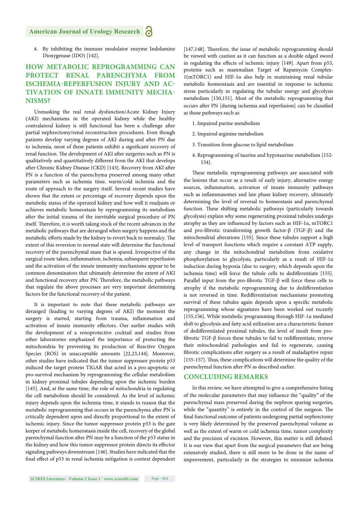4. By inhibiting the immune modulator enzyme Indolamine Dioxygenase (IDO) [142].

#### **HOW METABOLIC REPROGRAMMING CAN PROTECT RENAL PARENCHYMA FROM ISCHEMIA-REPERFUSION INJURY AND AC-TIVATION OF INNATE IMMUNITY MECHA-NISMS?**

Unmasking the real renal dysfunction/Acute Kidney Injury (AKI) mechanisms in the operated kidney while the healthy contralateral kidney is still functional has been a challenge after partial nephrectomy/renal reconstruction procedures. Even though patients develop varying degrees of AKI during and after PN due to ischemia, most of these patients exhibit a significant recovery of renal function. The development of AKI after surgeries such as PN is qualitatively and quantitatively different from the AKI that develops after Chronic Kidney Disease (CKD) [143]. Recovery from AKI after PN is a function of the parenchyma preserved among many other parameters such as ischemia time, warm/cold ischemia and the route of approach to the surgery itself. Several recent studies have shown that the extent or percentage of recovery depends upon the metabolic status of the operated kidney and how well it readjusts or achieves metabolic homeostasis by reprogramming its metabolism after the initial trauma of the inevitable surgical procedure of PN itself. Therefore, it is worth taking stock of the recent advances in the metabolic pathways that are deranged when surgery happens and the metabolic efforts made by the kidney to revert back to normalcy. The extent of this reversion to normal state will determine the functional recovery of the parenchymal mass that is spared. Irrespective of the surgical route taken, inflammation, ischemia, subsequent reperfusion and the activation of the innate immunity mechanisms appear to be common denominators that ultimately determine the extent of AKI and functional recovery after PN. Therefore, the metabolic pathways that regulate the above processes are very important determining factors for the functional recovery of the patient.

It is important to note that these metabolic pathways are deranged (leading to varying degrees of AKI) the moment the surgery is started, starting from trauma, inflammation and activation of innate immunity effectors. Our earlier studies with the development of a renoprotective cocktail and studies from other laboratories emphasized the importance of protecting the mitochondria by preventing its production of Reactive Oxygen Species (ROS) in unacceptable amounts [22,23,144]. Moreover, other studies have indicated that the tumor suppressor protein p53 induced the target protein TIGAR that acted in a pro-apoptotic or pro-survival mechanism by reprogramming the cellular metabolism in kidney proximal tubules depending upon the ischemic burden [145]. And, at the same time, the role of mitochondria in regulating the cell metabolism should be considered. As the level of ischemic injury depends upon the ischemia time, it stands to reason that the metabolic reprogramming that occurs in the parenchyma after PN is critically dependent upon and directly proportional to the extent of ischemic injury. Since the tumor suppressor protein p53 is the gate keeper of metabolic homeostasis inside the cell, recovery of the global parenchymal function after PN may be a function of the p53 status in the kidney and how this tumor suppressor protein directs its effector signaling pathways downstream [146]. Studies have indicated that the final effect of p53 in renal ischemia mitigation is context dependent [147,148]. Therefore, the issue of metabolic reprogramming should be viewed with caution as it can function as a double edged sword in regulating the effects of ischemic injury [149]. Apart from p53, proteins such as mammalian Target of Rapamycin Complex-1(mTORC1) and HIF-1α also help in maintaining renal tubular metabolic homeostasis and are essential in response to ischemic stress particularly in regulating the tubular energy and glycolysis metabolism [150,151]. Most of the metabolic reprogramming that occurs after PN [during ischemia and reperfusion] can be classified as those pathways such as

- 1. Impaired purine metabolism
- 2. Impaired arginine metabolism
- 3. Transition from glucose to lipid metabolism
- 4. Reprogramming of taurine and hypotaurine metabolism [152- 154].

These metabolic reprogramming pathways are associated with the lesions that occur as a result of early injury, alternative energy sources, inflammation, activation of innate immunity pathways such as inflammasomes and late phase kidney recovery, ultimately determining the level of reversal to homeostasis and parenchymal function. These shifting metabolic pathways (particularly towards glycolysis) explain why some regenerating proximal tubules undergo atrophy as they are influenced by factors such as HIF-1α, mTORC1 and pro-fibrotic transforming growth factor- $\beta$  (TGF- $\beta$ ) and the mitochondrial alterations [155]. Since these tubules support a high level of transport functions which require a constant ATP supply, any change in the mitochondrial metabolism from oxidative phosphorylation to glycolysis, particularly as a result of HIF-1α induction during hypoxia (due to surgery, which depends upon the ischemia time) will force the tubule cells to dedifferentiate [155]. Parallel input from the pro-fibrotic TGF- $\beta$  will force these cells to atrophy if the metabolic reprogramming due to dedifferentiation is not reversed in time. Redifferentiation mechanisms promoting survival of these tubules again depends upon a specific metabolic reprogramming whose signatures have been worked out recently [155,156]. While metabolic programming through HIF-1α mediated shift to glycolysis and fatty acid utilization are a characteristic feature of dedifferentiated proximal tubules, the level of insult from profibrotic TGF- $\beta$  forces these tubules to fail to redifferentiate, reverse their mitochondrial pathologies and fail to regenerate, causing fibrotic complications after surgery as a result of maladaptive repair [155-157]. Thus, these complications will determine the quality of the parenchymal function after PN as described earlier.

#### **CONCLUDING REMARKS**

In this review, we have attempted to give a comprehensive listing of the molecular parameters that may influence the "quality" of the parenchymal mass preserved during the nephron sparing surgeries, while the "quantity" is entirely in the control of the surgeon. The final functional outcome of patients undergoing partial nephrectomy is very likely determined by the preserved parenchymal volume as well as the extent of warm or cold ischemia time, tumor complexity and the precision of excision. However, this matter is still debated. It is our view that apart from the surgical parameters that are being extensively studied, there is still more to be done in the name of improvement, particularly in the strategies to minimize ischemia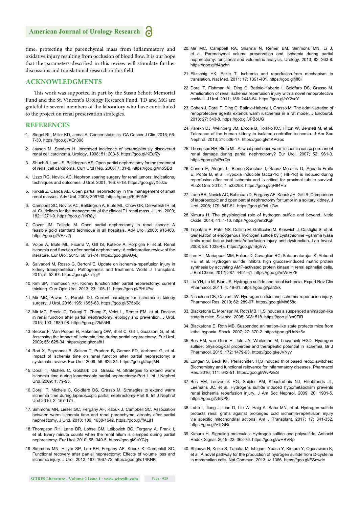time, protecting the parenchymal mass from inflammatory and oxidative injury resulting from occlusion of blood flow. It is our hope that the parameters described in this review will stimulate further discussions and translational research in this field.

#### **ACKNOWLEDGMENTS**

This work was supported in part by the Susan Schott Memorial Fund and the St. Vincent's Urology Research Fund. TD and MG are grateful to several members of the laboratory who have contributed to the project on renal preservation strategies.

#### **REFERENCES**

- 1. Siegel RL, Miller KD, Jemal A. Cancer statistics. CA Cancer J Clin. 2016; 66: 7-30. https://goo.gl/XEn398
- 2. Jayson M, Sanders H. Increased incidence of serendipitously discovered renal cell carcinoma. Urology. 1998; 51: 203-5. https://goo.gl/KEufZy
- 3. Shuch B, Lam JS, Belldegrun AS. Open partial nephrectomy for the treatment of renal cell carcinoma. Curr Urol Rep. 2006; 7: 31-8. https://goo.gl/rnoSBd
- 4. Uzzo RG, Novick AC. Nephron sparing surgery for renal tumors: Indications, techniques and outcomes. J Urol. 2001; 166: 6-18. https://goo.gl/yX5Jzu
- 5. Kirkali Z, Canda AE. Open partial nephrectomy in the management of small renal masses. Adv Urol. 2008; 309760. https://goo.gl/KJF9NF
- 6. Campbell SC, Novick AC, Belldegrun A, Blute ML, Chow GK, Derweesh IH, et al. Guidelines for the management of the clinical T1 renal mass. J Urol. 2009; 182: 1271-9. https://goo.gl/HrR8yj
- 7. Cozar JM, Tallada M. Open partial nephrectomy in renal cancer: A feasible gold standard technique in all hospitals. Adv Urol. 2008; 916463. https://goo.gl/VEzv2j
- 8. Volpe A, Blute ML, Ficarra V, Gill IS, Kutikov A, Porpiglia F, et al. Renal ischemia and function after partial nephrectomy: A collaborative review of the literature. Eur Urol. 2015; 68: 61-74. https://goo.gl/iAUyLj
- 9. Salvadori M, Rosso G, Bertoni E. Update on ischemia-reperfusion injury in kidney transplantation: Pathogenesis and treatment. World J Transplant. 2015; 5: 52-67. https://goo.gl/zuTpjY
- 10. Kim SP, Thompson RH. Kidney function after partial nephrectomy: current thinking. Curr Opin Urol. 2013; 23: 105-11. https://goo.gl/PHUPsc
- 11. Mir MC, Pavan N, Parekh DJ. Current paradigm for ischemia in kidney surgery. J Urol. 2016; 195: 1655-63. https://goo.gl/575p6c
- 12. Mir MC, Ercole C, Takagi T, Zhang Z, Velet L, Remer EM, et al. Decline in renal function after partial nephrectomy: etiology and prevention. J Urol. 2015; 193: 1889-98. https://goo.gl/2k55HL
- 13. Becker F, Van Poppel H, Hakenberg OW, Stief C, Gill I, Guazzoni G, et al. Assessing the impact of ischemia time during partial nephrectomy. Eur Urol. 2009; 56: 625-34. https://goo.gl/zqa8t1
- 14. Rod X, Peyronnet B, Seisen T, Pradere B, Gomez FD, Verhoest G, et al. Impact of ischemia time on renal function after partial nephrectomy: a systematic review. Eur Urol. 2009; 56: 625-34. https://goo.gl/5qnjM4
- 15. Dorai T, Michels C, Goldfarb DS, Grasso M. Strategies to extend warm ischemia time during laparoscopic partial nephrectomy-Part I. Int J Nephrol Urol. 2009; 1: 79-93.
- 16. Dorai, T, Michels C, Goldfarb DS, Grasso M. Strategies to extend warm ischemia time during laparoscopic partial nephrectomy-Part II. Int J Nephrol Urol 2010; 2: 157-171.
- 17. Simmons MN, Lieser GC, Fergany AF, Kaouk J, Campbell SC. Association between warm ischemia time and renal parenchymal atrophy after partial nephrectomy. J Urol. 2013; 189: 1638-1642. https://goo.gl/ffALjH
- 18. Thompson RH, Lane BR, Lohse CM, Leibovich BC, Fergany A, Frank I, et al. Every minute counts when the renal hilum is clamped during partial nephrectomy. Eur Urol. 2010; 58: 340-5. https://goo.gl/9aYCjq
- 19. Simmons MN, Hillyer SP, Lee BH, Fergany AF, Kaouk K, Campblell SC. Functional recovery after partial nephrectomy: Effects of volume loss and ischemic injury. J Urol. 2012; 187: 1667-73. https://goo.gl/cT4KNK
- 20. Mir MC, Campbell RA, Sharma N, Remer EM, Simmons MN, Li J, et al. Parenchymal volume preservation and ischemia during partial nephrectomy: functional and volumetric analysis. Urology. 2013; 82: 263-8. https://goo.gl/d4gzhn
- 21. Eltzschig HK, Eckle T. Ischemia and reperfusion-from mechanism to translation. Nat Med. 2011; 17: 1391-401. https://goo.gl/jff8ii
- 22. Dorai T, Fishman AI, Ding C, Batinic-Haberle I, Goldfarb DS, Grasso M. Amelioration of renal ischemia reperfusion injury with a novel renoprotective cocktail. J Urol. 2011; 186: 2448-54. https://goo.gl/nY2vcY
- 23. Cohen J, Dorai T, Ding C, Batinic-Haberle I, Grasso M. The administration of renoprotective agents extends warm iuschemia in a rat model. J Endourol. 2013; 27: 343-8. https://goo.gl/JPBoUG
- 24. Parekh DJ, Weinberg JM, Ercole B, Torkko KC, Hilton W, Bennett M, et al. Tolerance of the human kidney to isolated controlled ischemia. J Am Soc Nephrol. 2013; 24: 506-17. https://goo.gl/mKPGpc
- 25. Thompson RH, Blute ML. At what point does warm ischemia cause permanent renal damage during partial nephrectomy? Eur Urol. 2007; 52: 961-3. https://goo.gl/aPcrQo
- 26. Conde E, Alegre L, Blanco-Sanchez I, Saenz-Morales D, Aguado-Fraile E, Ponte B, et al. Hypoxia inducible factor-1α ( HIF-1α) is induced during reperfusion after renal ischemia and is critical for proximal tubule survival. PLoS One. 2012; 7: e33258. https://goo.gl/qH84Hb
- 27. Lane BR, Novick AC, Babineau D, Fergany AF, Kaouk JH, Gill IS. Comparison of laparoscopic and open partial nephrectomy for tumor in a solitary kidney. J Urol. 2008; 179: 847-51. https://goo.gl/9dLkGw
- 28. Kimura H. The physiological role of hydrogen sulfide and beyond. Nitric Oxide. 2014; 41: 4-10. https://goo.gl/enZKqF
- 29. Tripatara P, Patel NS, Collino M, Gallicchio M, Kieswich J, Castiglia S, et al. Generation of endogenous hydrogen sulfide by cystathionine –gamma lyase limits renal tissue ischemia/reperfusion injury and dysfunction. Lab Invest. 2008; 88: 1038-48. https://goo.gl/fiSgVW
- 30. Lee HJ, Mariappan MM, Feliers D, Cavaglieri RC, Sataranatarajan K, Abboud HE, et al. Hydrogen sulfide inhibits high glucose-induced matrix protein synthesis by activating AMP-activated protein kinase in renal epithelial cells. J Biol Chem. 2012; 287: 4451-61. https://goo.gl/mWoVZ6
- 31. Liu YH, Lu M, Bian JS, Hydrogen sulfide and renal ischemia. Expert Rev Clin Pharmacol. 2011; 4: 49-61. https://goo.gl/pafZ8k
- 32. Nicholson CK, Calvert JW. Hydrogen sulfide and ischemia-reperfusion injury. Pharmacol Res. 2010; 62: 289-97. https://goo.gl/Mh658c
- 33. Blackstone E, Morrison M, Roth MB.  $H_2S$  induces a suspended animation-like state in mice. Science. 2005; 308: 518. https://goo.gl/zn9FfR
- 34. Blackstone E, Roth MB. Suspended animation-like state protects mice from lethal hypoxia. Shock. 2007; 27: 370-2. https://goo.gl/UnNz5v
- 35. Bos EM, van Goor H, Jole JA, Whiteman M, Leuvenink HGD. Hydrogen sulfide: physiological properties and therapeutic potential in ischemia. Br J Pharmacol. 2015; 172: 1479-93. https://goo.gl/eJVNyv
- 36. Longen S, Beck KF, Pfeilschifter.  $H_2S$  induced thiol based redox switches: Biochemistry and functional relevance for inflammatory diseases. Pharmacol Res. 2016; 111: 642-51. https://goo.gl/WvPzES
- 37. Bos EM, Leuvenink HG, Snijder PM, Kloosterhuis NJ, Hillebrands JL, Leemans JC, et al. Hydrogens sulfide induced hypometabolism prevents renal ischemia reperfusion injury. J Am Soc Nephrol. 2009; 20: 1901-5. https://goo.gl/z5NP8i
- 38. Lobb I, Jiang J, Lian D, Liu W, Haig A, Saha MN, et al. Hydrogen sulfide protects renal grafts against prolonged cold ischemia-reperfusion injury via specific mitochondrial actions. Am J Transplant. 2017; 17: 341-352. https://goo.gl/vTtGRi
- 39. Kimura H. Signaling molecules: Hydrogen sulfide and polysulfide. Antioxid Redox Signal. 2015; 22: 362-76. https://goo.gl/wHBVRp
- 40. Shibuya N, Koike S, Tanaka M, Ishigami-Yuasa Y, Kimura Y, Ogasawara K, et al. A novel pathway for the production of hydrogen sulfide from D-cysteine in mammalian cells. Nat Commun. 2013; 4: 1366. https://goo.gl/ESdwdc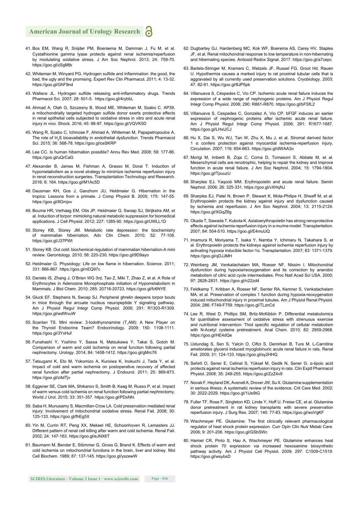- 41. Bos EM, Wang R, Snijder PM, Boersema M, Damman J, Fu M, et al. Cystathionine gamma lyase protects against renal ischemia/reperfusion by modulating oxidative stress. J Am Soc Nephrol. 2013; 24: 759-70. https://goo.gl/zSaMtb
- 42. Whiteman M, Winyard PG. Hydrogen sulfide and inflammation: the good, the bad, the ugly and the promising. Expert Rev Clin Pharmacol. 2011; 4: 13-32. https://goo.gl/GhF9nd
- 43. Wallace JL. Hydrogen sulfide releasing anti-inflammatory drugs. Trends Pharmacol Sci. 2007; 28: 501-5. https://goo.gl/4rybbL
- 44. Ahmad A, Olah G, Szczesny B, Wood ME, Whiteman M, Szabo C. AP39, a mitochondrially targeted hydrogen sulfide donor exerts protective effects in renal epithelial cells subjected to oxidative stress in vitro and acute renal injury in vivo. Shock. 2016; 45: 88-97. https://goo.gl/VQVK5D
- 45. Wang R, Szabo C, Ichinose F, Ahmad A, Whiteman M, Papapetropoulos A. The role of  $H_2S$  bioavailability in endothelial dysfunction. Trends Pharmacol Sci. 2015; 36: 568-78. https://goo.gl/ceSKRP
- 46. Lee CC. Is human hibernation possible? Annu Rev Med. 2008; 59: 177-86. https://goo.gl/uQrCaG
- 47. Alexander B, James M, Fishman A, Grasso M, Dorai T. Induction of hypometabolism as a novel strategy to minimize ischemia reperfusion injury in renal reconstruction surgeries. Transplantation Technology and Research. 2016; 6: 164. https://goo.gl/M1Ac5D
- 48. Dausman KH, Gos J, Ganzhom JU, Heldmaier G. Hibernation in the tropics: Lessons from a primate. J Comp Physiol B. 2005; 175: 147-55. https://goo.gl/8Gmjxv
- 49. Bouma HR, Verhaag EM, Otis JP, Heldmaier G, Swoap SJ, Strijkstra AM, et al. Induction of torpor: mimicking natural metabolic suppression for biomedical applications. J Cell Physiol. 2012; 227: 1285-90. https://goo.gl/UWLL1D
- 50. Storey KB, Storey JM. Metabolic rate depression: the biochemistry of mammalian hibernation. Adv Clin Chem. 2010; 52: 77-108. https://goo.gl/J37PWt
- 51. Storey KB. Out cold: biochemical regulation of mammalian hibernation-A mini review. Gerontology. 2010; 56: 220-230. https://goo.gl/9D9ayo
- 52. Heldmaier G. Physiology: Life on low flame in hibernation. Science. 2011; 331: 866-867. https://goo.gl/nEQ97c
- 53. Daniels IS, Zhang J, O'Brien WG 3rd, Tao Z, Miki T, Zhao Z, et al. A Role of Erythrocytes in Adenosine Monophosphate initiation of Hypometabolism in Mammals. J Biol Chem. 2010; 285: 20716-20723. https://goo.gl/fc6NYE
- 54. Gluck EF, Stephens N, Swoap SJ. Peripheral ghrelin deepens torpor bouts in mice through the arcuate nucleus neuropeptide Y signaling pathway. Am J Physiol Regul Integr Comp Physiol. 2006; 291: R1303-R1309. https://goo.gl/wdWvuW
- 55. Scanlan TS. Mini review: 3-lodothyronamine (T<sub>1</sub>AM): A New Player on the Thyroid Endocrine Team? Endocrinology. 2009; 150: 1108-1111. https://goo.gl/3YxHuf
- 56. Funahashi Y, Yoshino Y, Sassa N, Matsukawa Y, Takai S, Gotoh M. Comparison of warm and cold ischemia on renal function following partial nephrectomy. Urology. 2014; 84: 1408-1412. https://goo.gl/gMrc76
- 57. Tatsugami K, Eto M, Yokomizo A, Kuroiwa K, Inokuchi J, Tada Y, et al. Impact of cold and warm ischemia on postoperative recovery of affected renal function after partial nephrectomy. J Endourol. 2011; 25: 869-873. https://goo.gl/z4dTjv
- 58. Eggener SE, Clark MA, Shikanov S, Smith B, Kaag M, Russo P, et al. Impact of warm versus cold ischemia on renal function following partial nephrectomy. World J Urol. 2015; 33: 351-357. https://goo.gl/PDxNhi
- 59. Saba H, Munusamy S, Macmillan-Crow LA. Cold preservation mediated renal injury: Involvement of mitochondrial oxidative stress. Renal Fail. 2008; 30: 125-133. https://goo.gl/fhEg5X
- 60. Yin M, Currin RT, Peng XX, Mekeel HE, Schoonhoven R, Lemasters JJ. Different pattern of renal cell killing after warm and cold ischemia. Renal Fail. 2002; 24: 147-163. https://goo.gl/eJNX6T
- 61. Baumann M, Bender E, Stömmer G, Gross G, Brand K. Effects of warm and cold ischemia on mitochondrial functions in the brain, liver and kidney. Mol Cell Biochem. 1989; 87: 137-145. https://goo.gl/yszewW
- 62. Dugbartey GJ, Hardenberg MC, Kok WF, Boerema AS, Carey HV, Staples JF, et al. Renal mitochondrial response to low temperature in non-hibernating and hibernating species. Antioxid Redox Signal. 2017. https://goo.gl/a7cepc
- 63. Bartels-Stringer M, Kramers C, Wetzels JF, Russel FG, Groot Hd, Rauen U. Hypothermia causes a marked injury to rat proximal tubular cells that is aggravated by all currently used preservation solutions. Cryobiology. 2003; 47: 82-91. https://goo.gl/8JP5pk
- 64. Villanueva S, Céspedes C, Vio CP. Ischemic acute renal failure induces the expression of a wide range of nephrogenic proteins. Am J Physiol Regul Integr Comp Physiol. 2006; 290: R861-R870. https://goo.gl/bFSfL2
- 65. Villanueva S, Cespedes C, Gonzalez A, Vio CP. bFGF induces an earlier expression of nephrogenic proteins after ischemic acute renal failure. Am J Physiol Regul Integr Comp Physiol. 2006; 291: R1677-1687. https://goo.gl/LHxUCJ
- 66. Hu X, Dai S, Wu WJ, Tan W, Zhu X, Mu J, et al. Stromal derived factor 1 α confers protection against myocardial ischemia-reperfusion injury. Circulation. 2007; 116: 654-663. https://goo.gl/dWAA3o
- 67. Morigi M, Imberti B, Zoja C, Corna D, Tomasoni S, Abbate M, et al. Mesenchymal cells are renotrophic, helping to repair the kidney and improve function in acute renal failure. J Am Soc Nephrol. 2004; 15: 1794-1804. https://goo.gl/TpuuzU
- 68. Sharples EJ, Yaqoob MM. Erythropoietin and acute renal failure. Semin Nephrol. 2006; 26: 325-331. https://goo.gl/vXHqNJ
- 69. Sharples EJ, Patel N, Brown P, Stewart K, Mota-Philipe H, Sheaff M, et al. Erythropoietin protects the kidney against injury and dysfunction caused by ischemia and reperfusion. J Am Soc Nephrol. 2004; 13: 2115-2124. https://goo.gl/XGqZ6g
- 70. Okada T, Sawada T, Kubota K. Asialoerythropoietin has strong renoprotective effects against ischemia reperfusion injury in a murine model. Transplantation. 2007; 84: 504-510. https://goo.gl/E4muUQ
- 71. Imamura R, Moriyama T, Isaka Y, Namba Y, Ichimaru N, Takahara S, et al. Erythropoietin protects the kidneys against ischemia reperfusion injury by activating hypoxia inducible factor-1α. Transplantation. 2007; 83: 1371-1379. https://goo.gl/qDJJMH
- 72. Weinberg JM, Venkatachalam MA, Roeser NF, Nissim I. Mitochondrial dysfunction during hypoxia/reoxygenation and its correction by anerobic metabolism of citric acid cycle intermediates. Proc Natl Acad Sci USA. 2000; 97: 2826-2831. https://goo.gl/n22zd4
- 73. Feldkamp T, Kribben A, Roeser NF, Senter RA, Kemner S, Venkatachalam MA, et al. Preservation of complex 1 function during hypoxia-reoxygenation induced mitochondrial injury in proximal tubules. Am J Physiol Renal Physiol. 2004; 286: F749-F759. https://goo.gl/TLznCd
- 74. Lee R, West D, Phillips SM, Britz-McKibbin P. Differential metabolomics for quantitative assessment of oxidative stress with strenuous exercise and nutritional intervention: Thiol specific regulation of cellular metabolism with N-Acetyl cysteine pretreatment. Anal Chem. 2010; 82: 2959-2968. https://goo.gl/HE4dQe
- 75. Ustundag S, Sen S, Yalcin O, Ciftci S, Demirkan B, Ture M. L-Carnitine ameliorates glycerol induced myoglobinuric acute renal failure in rats. Renal Fail. 2009; 31: 124-133. https://goo.gl/sy2HHQ
- 76. Sehirli O, Sener E, Cetinel S, Yüksel M, Gedik N, Sener G. α-lipoic acid protects against renal ischemia reperfusion injury in rats. Clin Exptl Pharmacol Physiol. 2008; 35: 249-255. https://goo.gl/ZzZ4v9
- 77. Novak F, Heyland DK, Avenell A, Drover JW, Su X. Glutamine supplementation in serious illness: A systematic review of the evidence. Crit Care Med. 2002; 30: 2022-2029. https://goo.gl/1Ue9tG
- 78. Fuller TF, Rose F, Singleton KD, Linde Y, Hoff U, Freise CE, et al. Glutamine donor pretreatment in rat kidney transplants with severe preservation reperfusion injury. J Surg Res. 2007; 140: 77-83. https://goo.gl/woVgKF
- 79. Wischmeyer PE. Glutamine: The first clinically relevant pharmacological regulator of heat shock protein expression. Curr Opin Clin Nutr Metab Care. 2006; 9: 201-206. https://goo.gl/GSbSWc
- 80. Hamiel CR, Pinto S, Hau A, Wischmeyer PE. Glutamine enhances heat shock protein 70 expression via increased hexosamine biosynthetic pathway activity. Am J Physiol Cell Physiol. 2009; 297: C1509-C1519. https://goo.gl/wsybsD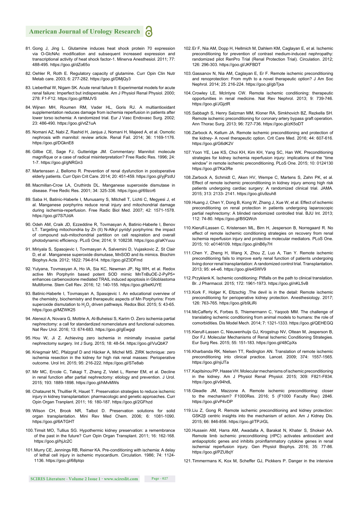- 81. Gong J, Jing L. Glutamine induces heat shock protein 70 expression via O-GlcNAc modification and subsequent increased expression and transcriptional activity of heat shock factor-1. Minerva Anesthesiol. 2011; 77: 488-495. https://goo.gl/dZo65o
- 82. Oehler R, Roth E. Regulatory capacity of glutamine. Curr Opin Clin Nutr Metab care. 2003; 6: 277-282. https://goo.gl/DMjQy3
- 83. Lieberthal W, Nigam SK. Acute renal failure II: Experimental models for acute renal failure: Imperfect but indispensable. Am J Physiol Renal Physiol. 2000; 278: F1-F12. https://goo.gl/ftMJVS
- 84. Wijnen MH, Roumen RM, Vader HL, Goris RJ. A multiantioxidant supplementation reduces damage from ischemia reperfusion in patients after lower torso ischemia: A randomized trial. Eur J Vasc Endovasc Surg. 2002; 23: 486-490. https://goo.gl/vtZ1uA
- 85. Nomani AZ, Nabi Z, Rashid H, Janjua J, Nomani H, Majeed A, et al. Osmotic nephrosis with mannitol: review article. Renal Fail. 2014; 36: 1169-1176. https://goo.gl/DGknE8
- 86. Gillbe CE, Sage FJ, Gutteridge JM. Commentary: Mannitol: molecule magnifique or a case of radical misinterpretation? Free Radic Res. 1996; 24: 1-7. https://goo.gl/gNRGn3
- 87. Martenssen J, Bellomo R. Prevention of renal dysfunction in postoperative elderly patients. Curr Opin Crit Care. 2014; 20: 451-459. https://goo.gl/yjPzdU
- 88. Macmillan-Crow LA, Cruthirds DL. Manganese superoxide dismutase in disease. Free Redic Res. 2001; 34: 325-336. https://goo.gl/69zcr6
- 89. Saba H, Batinic-Haberle I, Munusamy S, Mitchell T, Lichti C, Megyesi J, et al. Manganese porphyrins reduce renal injury and mitochondrial damage during ischemia-reperfusion. Free Radic Biol Med. 2007; 42: 1571-1578. https://goo.gl/7S7UdA
- 90. Odeh AM, Craik JD, Ezzeddine R, Tovmasyan A, Batinic-Haberle I, Benov LT. Targeting mitochondria by Zn (II) N-Alkyl pyridyl porphyrins: the impact of compound sub-mitochondrial partition on cell respiration and overall photodynamic efficiency. PLoS One; 2014; 9: 108238. https://goo.gl/aKYuuu
- 91. Miriyala S, Spasojevic I, Tovmasyan A, Salvemini D, Vujaskovic Z, St Clair D, et al . Manganese superoxide dismutase, MnSOD and its mimics. Biochim Biophys Acta. 2012; 1822: 794-814. https://goo.gl/Z3DFmd
- 92. Yulyana, Tovmasyan A, Ho IA, Sia KC, Newman JP, Ng WH, et al. Redox active Mn Porphyrin based potent SOD mimic MnTnBuOE-2-PyP5+ enhances carbenoxolone mediated TRAIL induced apoptosis in Glioblastoma Multiforme. Stem Cell Rev. 2016; 12: 140-155. https://goo.gl/beKUYE
- 93. Batinic-Haberle I, Tovmasyan A, Spasojevic I. An educational overview of the chemistry, biochemistry and therapeutic aspects of Mn Porphyrins: From superoxide dismutation to  $H_2O_2$  driven pathways. Redox Biol. 2015; 5: 43-65. https://goo.gl/MZWK25
- 94. Alenezi A, Novara G, Mottrie A, Al-Buheissi S, Karim O. Zero ischemia partial nephrectomy: a call for standardized nomenclature and functional outcomes. Nat Rev Urol. 2016; 13: 674-683. https://goo.gl/gEwgqt
- 95. Hou W, Ji Z. Achieving zero ischemia in minimally invasive partial nephrectomy surgery. Int J Surg. 2015; 18: 48-54. https://goo.gl/VuQbK7
- 96. Kriegmair MC, Pfalzgraf D and Häcker A, Michel MS. ZIRK technique: zero ischemia resection in the kidney for high risk renal masses: Perioperative outcome. Urol Int. 2015; 95: 216-222. https://goo.gl/STe8ab
- 97. Mir MC, Ercole C, Takagi T, Zhang Z, Velet L, Remer EM, et al. Decline in renal function after partial nephrectomy: etiology and prevention. J Urol. 2015; 193: 1889-1898. https://goo.gl/hMvMWs
- 98. Chatauret N, Thuillier R, Hauet T. Preservation strategies to reduce ischemic injury in kidney transplantation: pharmacologic and genetic approaches. Curr Opin Organ Tranplant. 2011; 16: 180-187. https://goo.gl/2GFhzd
- 99. Wilson CH, Brook NR, Talbot D. Preservation solutions for solid organ transplantation. Mini Rev Med Chem. 2006; 6: 1081-1090. https://goo.gl/6ATGHT
- 100. Timsit MO, Tullius SG. Hypothermic kidney preservation: a remembrance of the past in the future? Curr Opin Organ Transplant. 2011; 16: 162-168. https://goo.gl/hjJc2C
- 101. Murry CE, Jennings RB, Reimer KA. Pre-conditioning with ischemia: A delay of lethal cell injury in ischemic myocardium. Circulation. 1986; 74: 1124- 1136. https://goo.gl/68ptqo
- 102. Er F, Nia AM, Dopp H, Hellmich M, Dahlem KM, Caglayan E, et al. Ischemic preconditioning for prevention of contrast medium-induced nephropathy: randomized pilot RenPro Trial (Renal Protection Trial). Circulation. 2012; 126: 296-303. https://goo.gl/JKFBDT
- 103. Gassanov N, Nia AM, Caglayan E, Er F. Remote ischemic preconditioning and renoprotection: From myth to a novel therapeutic option? J Am Soc Nephrol. 2014; 25: 216-224. https://goo.gl/gbTjxa
- 104. Crowley LE, McIntyre CW. Remote ischemic conditioning: therapeutic opportunities in renal medicine. Nat Rev Nephrol. 2013; 9: 739-746. https://goo.gl/JGjztR
- 105. Sabbagh S, Henry Salzman MM, Kloner RA, Simkhovich BZ, Rezkella SH. Remote ischemic preconditioning for coronary artery bypass graft operation. Ann Thorac Surg. 2013; 96: 727-736. https://goo.gl/zK5oDT
- 106. Zarbock A, Kellum JA. Remote ischemic preconditioning and protection of the kidney- A novel therapeutic option. Crit Care Med. 2016; 44: 607-616. https://goo.gl/G6dK2V
- 107. Yoon YE, Lee KS, Choi KH, Kim KH, Yang SC, Han WK. Preconditioning strategies for kidney ischemia reperfusion injury: implications of the "time window" in remote ischemic preconditioning. PLoS One. 2015; 10: 0124130 https://goo.gl/7Ka3Re
- 108. Zarbock A, Schmidt C, Aken HV, Wempe C, Martens S, Zahn PK, et al. Effect of remote ischemic preconditioning in kidney injury among high risk patients undergoing cardiac surgery: A randomized clinical trial. JAMA. 2015; 313: 2133- 2141. https://goo.gl/u9zuh8
- 109. Huang J, Chen Y, Dong B, Kong W, Zhang J, Xue W, et al. Effect of ischemic preconditioning on renal protection in patients undergoing laparoscopic partial nephrectomy: A blinded randomized controlled trial. BJU Int. 2013; 112: 74-80. https://goo.gl/B5QWch
- 110. Kierulf-Lassen C, Kristensen ML, Birn H, Jesperson B, Norregaard R. No effect of remote ischemic conditioning strategies on recovery from renal ischemia reperfusion injury and protective molecular mediators. PLoS One. 2015; 10: e0146109. https://goo.gl/nB6y7H
- 111. Chen Y, Zheng H, Wang X, Zhou Z, Luo A, Tian Y. Remote ischemic preconditioning fails to improve early renal function of patients undergoing living donor renal transplantation: A randomized control trial. Transplantation. 2013; 95: e4-e6. https://goo.gl/e4SWV9
- 112. Przyklenk K. Ischemic conditioning: Pitfalls on the path to clinical translation. Br. J Pharmacol. 2015; 172: 1961-1973. https://goo.gl/nKL5vB
- 113. Kork F, Holger K, Eltzschig .The devil is in the detail: Remote ischemic preconditioning for perioperative kidney protection. Anesthesiology. 2017; 126: 763-765. https://goo.gl/b9LiRi
- 114. McCafferty K, Forbes S, Thiemermann C, Yaqoob MM. The challenge of translating ischemic conditioning from animal models to humans: the role of comorbidities. Dis Model Mech. 2014; 7: 1321-1333. https://goo.gl/QEHEGQ
- 115. Kierulf-Lassen C, Nieuwenhuijs GJ, Krogstrup NV, Oltean M, Jesperson B, Dor FJ. Molecular Mechanisms of Renal Ischemic Conditioning Strategies. Eur Surg Res. 2015; 55: 151-183. https://goo.gl/48CpXs
- 116. Kharbanda RK, Nielsen TT, Redington AN. Translation of remote ischemic preconditioning into clinical practice. Lancet. 2009; 374: 1557-1565. https://goo.gl/njiJTa
- 117. Kapitsinou PP, Haase VH. Molecular mechanisms of ischemic preconditioning in the kidney. Am J Physiol Renal Physiol. 2015; 309: F821-F834. https://goo.gl/v94hdL
- 118. Gleadle JM, Mazzone A. Remote ischemic preconditioning: closer to the mechanism? F1000Res. 2016; 5 (F1000 Faculty Rev) 2846. https://goo.gl/vP4vDP
- 119. Liu Z, Gong R. Remote ischemic preconditioning and kidney protection: GSK2β centric insights into the mechanism of action. Am J Kidney Dis. 2015; 66: 846-856. https://goo.gl/TPJrGL
- 120. Hussein AM, Harra AM, Awadalla A, Barakat N, Khater S, Shokeir AA. Remote limb ischemic preconditioning (rIPC) activates antioxidant and antiapoptotic genes and inhibits proinflammatory cytokine genes in renal ischemia/ reperfusion injury. Gen Physiol Biophys. 2016; 35: 77-86. https://goo.gl/PZU8qY
- 121. Timmermans K, Kox M, Scheffer GJ, Pickkers P. Danger in the intensive